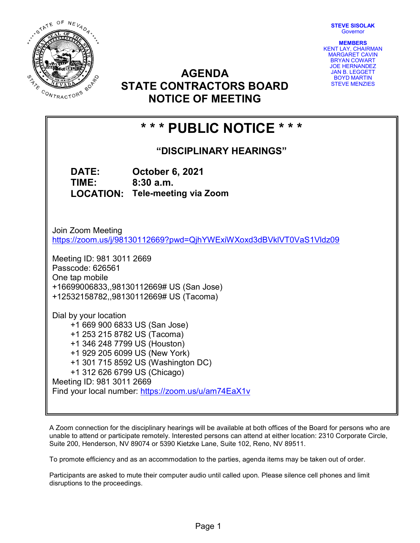STEVE SISOLAK **Governor** 



AGENDA STATE CONTRACTORS BOARD NOTICE OF MEETING

MEMBERS KENT LAY, CHAIRMAN MARGARET CAVIN BRYAN COWART JOE HERNANDEZ JAN B. LEGGETT BOYD MARTIN STEVE MENZIES

# \* \* \* PUBLIC NOTICE \* \* \*

"DISCIPLINARY HEARINGS"

DATE: October 6, 2021 TIME: 8:30 a.m. LOCATION: Tele-meeting via Zoom

Join Zoom Meeting https://zoom.us/j/98130112669?pwd=QjhYWExiWXoxd3dBVklVT0VaS1Vldz09

Meeting ID: 981 3011 2669 Passcode: 626561 One tap mobile +16699006833,,98130112669# US (San Jose) +12532158782,,98130112669# US (Tacoma)

Dial by your location +1 669 900 6833 US (San Jose) +1 253 215 8782 US (Tacoma) +1 346 248 7799 US (Houston) +1 929 205 6099 US (New York) +1 301 715 8592 US (Washington DC) +1 312 626 6799 US (Chicago) Meeting ID: 981 3011 2669 Find your local number: https://zoom.us/u/am74EaX1v

A Zoom connection for the disciplinary hearings will be available at both offices of the Board for persons who are unable to attend or participate remotely. Interested persons can attend at either location: 2310 Corporate Circle, Suite 200, Henderson, NV 89074 or 5390 Kietzke Lane, Suite 102, Reno, NV 89511.

To promote efficiency and as an accommodation to the parties, agenda items may be taken out of order.

Participants are asked to mute their computer audio until called upon. Please silence cell phones and limit disruptions to the proceedings.